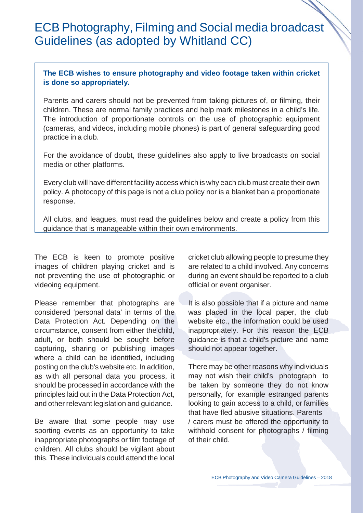## ECB Photography, Filming and Social media broadcast Guidelines (as adopted by Whitland CC)

## **The ECB wishes to ensure photography and video footage taken within cricket is done so appropriately.**

Parents and carers should not be prevented from taking pictures of, or filming, their children. These are normal family practices and help mark milestones in a child's life. The introduction of proportionate controls on the use of photographic equipment (cameras, and videos, including mobile phones) is part of general safeguarding good practice in a club.

For the avoidance of doubt, these guidelines also apply to live broadcasts on social media or other platforms.

Every club will have different facility access which is why each club must create their own policy. A photocopy of this page is not a club policy nor is a blanket ban a proportionate response.

All clubs, and leagues, must read the guidelines below and create a policy from this guidance that is manageable within their own environments.

The ECB is keen to promote positive images of children playing cricket and is not preventing the use of photographic or videoing equipment.

Please remember that photographs are considered 'personal data' in terms of the Data Protection Act. Depending on the circumstance, consent from either the child, adult, or both should be sought before capturing, sharing or publishing images where a child can be identified, including posting on the club's website etc. In addition, as with all personal data you process, it should be processed in accordance with the principles laid out in the Data Protection Act, and other relevant legislation and guidance.

Be aware that some people may use sporting events as an opportunity to take inappropriate photographs or film footage of children. All clubs should be vigilant about this. These individuals could attend the local

cricket club allowing people to presume they are related to a child involved. Any concerns during an event should be reported to a club official or event organiser.

It is also possible that if a picture and name was placed in the local paper, the club website etc., the information could be used inappropriately. For this reason the ECB guidance is that a child's picture and name should not appear together.

There may be other reasons why individuals may not wish their child's photograph to be taken by someone they do not know personally, for example estranged parents looking to gain access to a child, or families that have fled abusive situations. Parents / carers must be offered the opportunity to withhold consent for photographs / filming of their child.